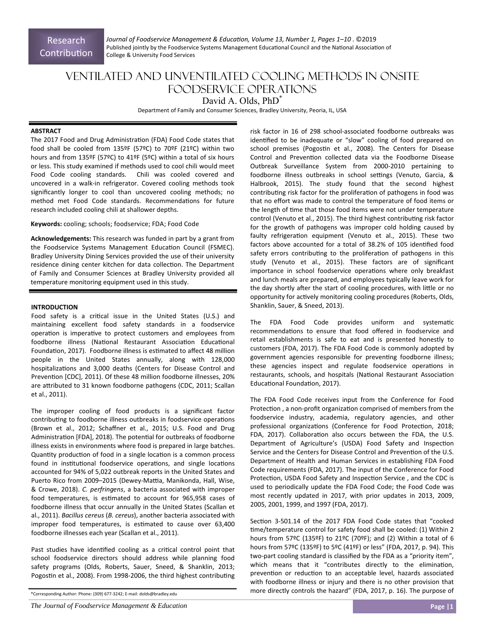*Journal of Foodservice Management & EducaƟon, Volume 13, Number 1, Pages 1–10 .* ©2019 Published jointly by the Foodservice Systems Management Educational Council and the National Association of College & University Food Services

# Ventilated and Unventilated Cooling Methods in Onsite Foodservice Operations David A. Olds, PhD<sup>\*</sup>

Department of Family and Consumer Sciences, Bradley University, Peoria, IL, USA

# **ABSTRACT**

The 2017 Food and Drug Administration (FDA) Food Code states that food shall be cooled from 135ºF (57ºC) to 70ºF (21ºC) within two hours and from 135ºF (57ºC) to 41ºF (5ºC) within a total of six hours or less. This study examined if methods used to cool chili would meet Food Code cooling standards. Chili was cooled covered and uncovered in a walk‐in refrigerator. Covered cooling methods took significantly longer to cool than uncovered cooling methods; no method met Food Code standards. Recommendations for future research included cooling chili at shallower depths.

#### **Keywords:** cooling; schools; foodservice; FDA; Food Code

**Acknowledgements:** This research was funded in part by a grant from the Foodservice Systems Management Education Council (FSMEC). Bradley University Dining Services provided the use of their university residence dining center kitchen for data collection. The Department of Family and Consumer Sciences at Bradley University provided all temperature monitoring equipment used in this study.

# **INTRODUCTION**

Food safety is a critical issue in the United States (U.S.) and maintaining excellent food safety standards in a foodservice operation is imperative to protect customers and employees from foodborne illness (National Restaurant Association Educational Foundation, 2017). Foodborne illness is estimated to affect 48 million people in the United States annually, along with 128,000 hospitalizations and 3,000 deaths (Centers for Disease Control and Prevention [CDC], 2011). Of these 48 million foodborne illnesses, 20% are attributed to 31 known foodborne pathogens (CDC, 2011; Scallan et al., 2011).

The improper cooling of food products is a significant factor contributing to foodborne illness outbreaks in foodservice operations (Brown et al., 2012; Schaffner et al., 2015; U.S. Food and Drug Administration [FDA], 2018). The potential for outbreaks of foodborne illness exists in environments where food is prepared in large batches. Quantity production of food in a single location is a common process found in institutional foodservice operations, and single locations accounted for 94% of 5,022 outbreak reports in the United States and Puerto Rico from 2009–2015 (Dewey-Mattia, Manikonda, Hall, Wise, & Crowe, 2018). *C. perfringens*, a bacteria associated with improper food temperatures, is estimated to account for 965,958 cases of foodborne illness that occur annually in the United States (Scallan et al., 2011). *Bacillus cereus* (*B. cereus*), another bacteria associated with improper food temperatures, is estimated to cause over 63,400 foodborne illnesses each year (Scallan et al., 2011).

Past studies have identified cooling as a critical control point that school foodservice directors should address while planning food safety programs (Olds, Roberts, Sauer, Sneed, & Shanklin, 2013; Pogostin et al., 2008). From 1998-2006, the third highest contributing risk factor in 16 of 298 school‐associated foodborne outbreaks was identified to be inadequate or "slow" cooling of food prepared on school premises (Pogostin et al., 2008). The Centers for Disease Control and Prevention collected data via the Foodborne Disease Outbreak Surveillance System from 2000‐2010 pertaining to foodborne illness outbreaks in school settings (Venuto, Garcia, & Halbrook, 2015). The study found that the second highest contributing risk factor for the proliferation of pathogens in food was that no effort was made to control the temperature of food items or the length of time that those food items were not under temperature control (Venuto et al., 2015). The third highest contributing risk factor for the growth of pathogens was improper cold holding caused by faulty refrigeration equipment (Venuto et al., 2015). These two factors above accounted for a total of 38.2% of 105 identified food safety errors contributing to the proliferation of pathogens in this study (Venuto et al., 2015). These factors are of significant importance in school foodservice operations where only breakfast and lunch meals are prepared, and employees typically leave work for the day shortly after the start of cooling procedures, with little or no opportunity for actively monitoring cooling procedures (Roberts, Olds, Shanklin, Sauer, & Sneed, 2013).

The FDA Food Code provides uniform and systematic recommendations to ensure that food offered in foodservice and retail establishments is safe to eat and is presented honestly to customers (FDA, 2017). The FDA Food Code is commonly adopted by government agencies responsible for preventing foodborne illness; these agencies inspect and regulate foodservice operations in restaurants, schools, and hospitals (National Restaurant Association Educational Foundation, 2017).

The FDA Food Code receives input from the Conference for Food Protection, a non-profit organization comprised of members from the foodservice industry, academia, regulatory agencies, and other professional organizations (Conference for Food Protection, 2018; FDA, 2017). Collaboration also occurs between the FDA, the U.S. Department of Agriculture's (USDA) Food Safety and Inspection Service and the Centers for Disease Control and Prevention of the U.S. Department of Health and Human Services in establishing FDA Food Code requirements (FDA, 2017). The input of the Conference for Food Protection, USDA Food Safety and Inspection Service, and the CDC is used to periodically update the FDA Food Code; the Food Code was most recently updated in 2017, with prior updates in 2013, 2009, 2005, 2001, 1999, and 1997 (FDA, 2017).

Section 3-501.14 of the 2017 FDA Food Code states that "cooked time/temperature control for safety food shall be cooled: (1) Within 2 hours from 57ºC (135ºF) to 21ºC (70ºF); and (2) Within a total of 6 hours from 57ºC (135ºF) to 5ºC (41ºF) or less" (FDA, 2017, p. 94). This two-part cooling standard is classified by the FDA as a "priority item", which means that it "contributes directly to the elimination, prevention or reduction to an acceptable level, hazards associated with foodborne illness or injury and there is no other provision that more directly controls the hazard" (FDA, 2017, p. 16). The purpose of

<sup>\*</sup>Corresponding Author: Phone: (309) 677‐3242; E‐mail: dolds@bradley.edu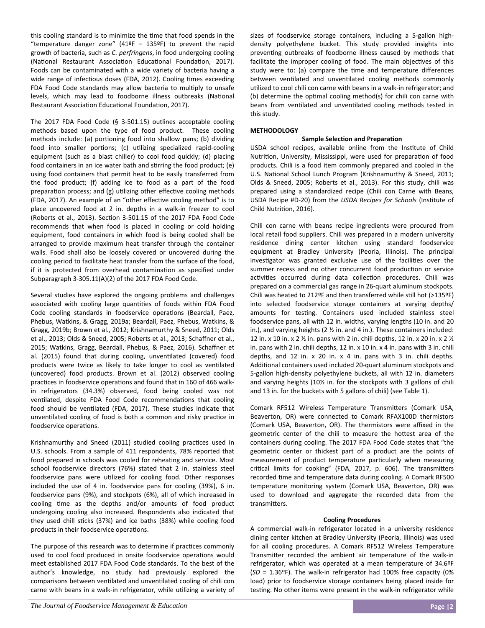this cooling standard is to minimize the time that food spends in the "temperature danger zone"  $(41°F - 135°F)$  to prevent the rapid growth of bacteria, such as *C. perfringens*, in food undergoing cooling (National Restaurant Association Educational Foundation, 2017). Foods can be contaminated with a wide variety of bacteria having a wide range of infectious doses (FDA, 2012). Cooling times exceeding FDA Food Code standards may allow bacteria to multiply to unsafe levels, which may lead to foodborne illness outbreaks (National Restaurant Association Educational Foundation, 2017).

The 2017 FDA Food Code (§ 3-501.15) outlines acceptable cooling methods based upon the type of food product. These cooling methods include: (a) portioning food into shallow pans; (b) dividing food into smaller portions; (c) utilizing specialized rapid-cooling equipment (such as a blast chiller) to cool food quickly; (d) placing food containers in an ice water bath and stirring the food product; (e) using food containers that permit heat to be easily transferred from the food product; (f) adding ice to food as a part of the food preparation process; and (g) utilizing other effective cooling methods (FDA, 2017). An example of an "other effective cooling method" is to place uncovered food at 2 in. depths in a walk-in freezer to cool (Roberts et al., 2013). Section 3-501.15 of the 2017 FDA Food Code recommends that when food is placed in cooling or cold holding equipment, food containers in which food is being cooled shall be arranged to provide maximum heat transfer through the container walls. Food shall also be loosely covered or uncovered during the cooling period to facilitate heat transfer from the surface of the food, if it is protected from overhead contamination as specified under Subparagraph 3‐305.11(A)(2) of the 2017 FDA Food Code.

Several studies have explored the ongoing problems and challenges associated with cooling large quantities of foods within FDA Food Code cooling standards in foodservice operations (Beardall, Paez, Phebus, Watkins, & Gragg, 2019a; Beardall, Paez, Phebus, Watkins, & Gragg, 2019b; Brown et al., 2012; Krishnamurthy & Sneed, 2011; Olds et al., 2013; Olds & Sneed, 2005; Roberts et al., 2013; Schaffner et al., 2015; Watkins, Gragg, Beardall, Phebus, & Paez, 2016). Schaffner et al. (2015) found that during cooling, unventilated (covered) food products were twice as likely to take longer to cool as ventilated (uncovered) food products. Brown et al. (2012) observed cooling practices in foodservice operations and found that in 160 of 466 walkin refrigerators (34.3%) observed, food being cooled was not ventilated, despite FDA Food Code recommendations that cooling food should be ventilated (FDA, 2017). These studies indicate that unventilated cooling of food is both a common and risky practice in foodservice operations.

Krishnamurthy and Sneed (2011) studied cooling practices used in U.S. schools. From a sample of 411 respondents, 78% reported that food prepared in schools was cooled for reheating and service. Most school foodservice directors (76%) stated that 2 in. stainless steel foodservice pans were utilized for cooling food. Other responses included the use of 4 in. foodservice pans for cooling (39%), 6 in. foodservice pans (9%), and stockpots (6%), all of which increased in cooling time as the depths and/or amounts of food product undergoing cooling also increased. Respondents also indicated that they used chill sticks (37%) and ice baths (38%) while cooling food products in their foodservice operations.

The purpose of this research was to determine if practices commonly used to cool food produced in onsite foodservice operations would meet established 2017 FDA Food Code standards. To the best of the author's knowledge, no study had previously explored the comparisons between ventilated and unventilated cooling of chili con carne with beans in a walk-in refrigerator, while utilizing a variety of

sizes of foodservice storage containers, including a 5-gallon highdensity polyethylene bucket. This study provided insights into preventing outbreaks of foodborne illness caused by methods that facilitate the improper cooling of food. The main objectives of this study were to: (a) compare the time and temperature differences between ventilated and unventilated cooling methods commonly utilized to cool chili con carne with beans in a walk-in refrigerator; and (b) determine the optimal cooling method(s) for chili con carne with beans from ventilated and unventilated cooling methods tested in this study.

# **METHODOLOGY**

# **Sample Selection and Preparation**

USDA school recipes, available online from the Institute of Child Nutrition, University, Mississippi, were used for preparation of food products. Chili is a food item commonly prepared and cooled in the U.S. National School Lunch Program (Krishnamurthy & Sneed, 2011; Olds & Sneed, 2005; Roberts et al., 2013). For this study, chili was prepared using a standardized recipe (Chili con Carne with Beans, USDA Recipe #D-20) from the USDA Recipes for Schools (Institute of Child Nutrition, 2016).

Chili con carne with beans recipe ingredients were procured from local retail food suppliers. Chili was prepared in a modern university residence dining center kitchen using standard foodservice equipment at Bradley University (Peoria, Illinois). The principal investigator was granted exclusive use of the facilities over the summer recess and no other concurrent food production or service activities occurred during data collection procedures. Chili was prepared on a commercial gas range in 26‐quart aluminum stockpots. Chili was heated to 212ºF and then transferred while still hot (>135ºF) into selected foodservice storage containers at varying depths/ amounts for testing. Containers used included stainless steel foodservice pans, all with 12 in. widths, varying lengths (10 in. and 20 in.), and varying heights (2 ½ in. and 4 in.). These containers included: 12 in. x 10 in. x 2  $\frac{1}{2}$  in. pans with 2 in. chili depths, 12 in. x 20 in. x 2  $\frac{1}{2}$ in. pans with 2 in. chili depths, 12 in. x 10 in. x 4 in. pans with 3 in. chili depths, and  $12$  in.  $x$   $20$  in.  $x$   $4$  in. pans with  $3$  in. chili depths. Additional containers used included 20-quart aluminum stockpots and 5‐gallon high‐density polyethylene buckets, all with 12 in. diameters and varying heights (10% in. for the stockpots with 3 gallons of chili and 13 in. for the buckets with 5 gallons of chili) (see Table 1).

Comark RF512 Wireless Temperature Transmitters (Comark USA, Beaverton, OR) were connected to Comark RFAX100D thermistors (Comark USA, Beaverton, OR). The thermistors were affixed in the geometric center of the chili to measure the hottest area of the containers during cooling. The 2017 FDA Food Code states that "the geometric center or thickest part of a product are the points of measurement of product temperature particularly when measuring critical limits for cooking" (FDA, 2017, p. 606). The transmitters recorded time and temperature data during cooling. A Comark RF500 temperature monitoring system (Comark USA, Beaverton, OR) was used to download and aggregate the recorded data from the transmiƩers.

#### **Cooling Procedures**

A commercial walk‐in refrigerator located in a university residence dining center kitchen at Bradley University (Peoria, Illinois) was used for all cooling procedures. A Comark RF512 Wireless Temperature Transmitter recorded the ambient air temperature of the walk-in refrigerator, which was operated at a mean temperature of 34.6ºF (*SD* = 1.36ºF). The walk‐in refrigerator had 100% free capacity (0% load) prior to foodservice storage containers being placed inside for testing. No other items were present in the walk-in refrigerator while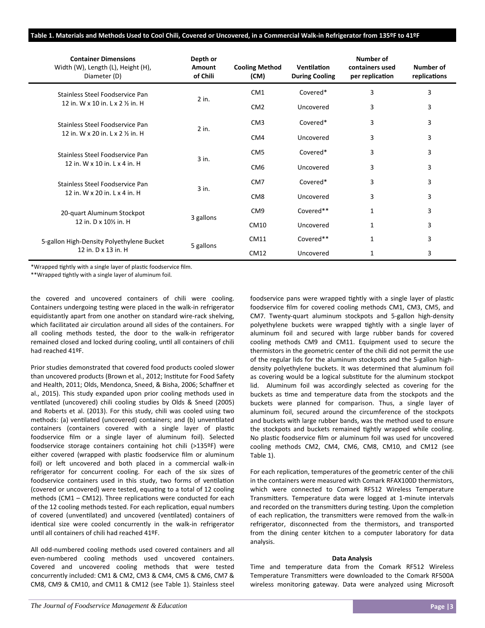### **Table 1. Materials and Methods Used to Cool Chili, Covered or Uncovered, in a Commercial Walk‐in Refrigerator from 135ºF to 41ºF**

| <b>Container Dimensions</b><br>Width (W), Length (L), Height (H),<br>Diameter (D) | Depth or<br>Amount<br>of Chili | <b>Cooling Method</b><br>(CM) | Ventilation<br><b>During Cooling</b> | Number of<br>containers used<br>per replication | Number of<br>replications |
|-----------------------------------------------------------------------------------|--------------------------------|-------------------------------|--------------------------------------|-------------------------------------------------|---------------------------|
| Stainless Steel Foodservice Pan<br>12 in. W x 10 in. L x 2 % in. H                | $2$ in.                        | CM <sub>1</sub>               | Covered*                             | 3                                               | 3                         |
|                                                                                   |                                | CM <sub>2</sub>               | Uncovered                            | 3                                               | 3                         |
| Stainless Steel Foodservice Pan                                                   | $2$ in.                        | CM <sub>3</sub>               | Covered*                             | 3                                               | 3                         |
| 12 in. W x 20 in. L x 2 1/2 in. H                                                 |                                | CM4                           | Uncovered                            | 3                                               | 3                         |
| Stainless Steel Foodservice Pan<br>12 in. W x 10 in. L x 4 in. H                  | 3 in.                          | CM <sub>5</sub>               | Covered*                             | 3                                               | 3                         |
|                                                                                   |                                | CM <sub>6</sub>               | Uncovered                            | 3                                               | 3                         |
| Stainless Steel Foodservice Pan<br>12 in. W x 20 in. L x 4 in. H                  | $3$ in.                        | CM <sub>7</sub>               | Covered*                             | 3                                               | 3                         |
|                                                                                   |                                | CM <sub>8</sub>               | Uncovered                            | 3                                               | 3                         |
| 20-quart Aluminum Stockpot<br>12 in. D x 101/2 in. H                              | 3 gallons                      | CM <sub>9</sub>               | Covered**                            | 1                                               | 3                         |
|                                                                                   |                                | CM10                          | Uncovered                            | 1                                               | 3                         |
| 5-gallon High-Density Polyethylene Bucket                                         | 5 gallons                      | CM11                          | Covered**                            | $\mathbf{1}$                                    | 3                         |
| 12 in. D x 13 in. H                                                               |                                | CM12                          | Uncovered                            | 1                                               | 3                         |

\*Wrapped tightly with a single layer of plastic foodservice film.

\*\*Wrapped tightly with a single layer of aluminum foil.

the covered and uncovered containers of chili were cooling. Containers undergoing testing were placed in the walk-in refrigerator equidistantly apart from one another on standard wire‐rack shelving, which facilitated air circulation around all sides of the containers. For all cooling methods tested, the door to the walk‐in refrigerator remained closed and locked during cooling, until all containers of chili had reached 41ºF.

Prior studies demonstrated that covered food products cooled slower than uncovered products (Brown et al., 2012; Institute for Food Safety and Health, 2011; Olds, Mendonca, Sneed, & Bisha, 2006; Schaffner et al., 2015). This study expanded upon prior cooling methods used in ventilated (uncovered) chili cooling studies by Olds & Sneed (2005) and Roberts et al. (2013). For this study, chili was cooled using two methods: (a) ventilated (uncovered) containers; and (b) unventilated containers (containers covered with a single layer of plastic foodservice film or a single layer of aluminum foil). Selected foodservice storage containers containing hot chili (>135ºF) were either covered (wrapped with plastic foodservice film or aluminum foil) or left uncovered and both placed in a commercial walk-in refrigerator for concurrent cooling. For each of the six sizes of foodservice containers used in this study, two forms of ventilation (covered or uncovered) were tested, equating to a total of 12 cooling methods  $(CM1 - CM12)$ . Three replications were conducted for each of the 12 cooling methods tested. For each replication, equal numbers of covered (unventilated) and uncovered (ventilated) containers of identical size were cooled concurrently in the walk-in refrigerator unƟl all containers of chili had reached 41ºF.

All odd‐numbered cooling methods used covered containers and all even‐numbered cooling methods used uncovered containers. Covered and uncovered cooling methods that were tested concurrently included: CM1 & CM2, CM3 & CM4, CM5 & CM6, CM7 & CM8, CM9 & CM10, and CM11 & CM12 (see Table 1). Stainless steel foodservice pans were wrapped tightly with a single layer of plastic foodservice film for covered cooling methods CM1, CM3, CM5, and CM7. Twenty‐quart aluminum stockpots and 5‐gallon high‐density polyethylene buckets were wrapped tightly with a single layer of aluminum foil and secured with large rubber bands for covered cooling methods CM9 and CM11. Equipment used to secure the thermistors in the geometric center of the chili did not permit the use of the regular lids for the aluminum stockpots and the 5‐gallon high‐ density polyethylene buckets. It was determined that aluminum foil as covering would be a logical substitute for the aluminum stockpot lid. Aluminum foil was accordingly selected as covering for the buckets as time and temperature data from the stockpots and the buckets were planned for comparison. Thus, a single layer of aluminum foil, secured around the circumference of the stockpots and buckets with large rubber bands, was the method used to ensure the stockpots and buckets remained tightly wrapped while cooling. No plastic foodservice film or aluminum foil was used for uncovered cooling methods CM2, CM4, CM6, CM8, CM10, and CM12 (see Table 1).

For each replication, temperatures of the geometric center of the chili in the containers were measured with Comark RFAX100D thermistors, which were connected to Comark RF512 Wireless Temperature Transmitters. Temperature data were logged at 1-minute intervals and recorded on the transmitters during testing. Upon the completion of each replication, the transmitters were removed from the walk-in refrigerator, disconnected from the thermistors, and transported from the dining center kitchen to a computer laboratory for data analysis.

#### **Data Analysis**

Time and temperature data from the Comark RF512 Wireless Temperature Transmitters were downloaded to the Comark RF500A wireless monitoring gateway. Data were analyzed using Microsoft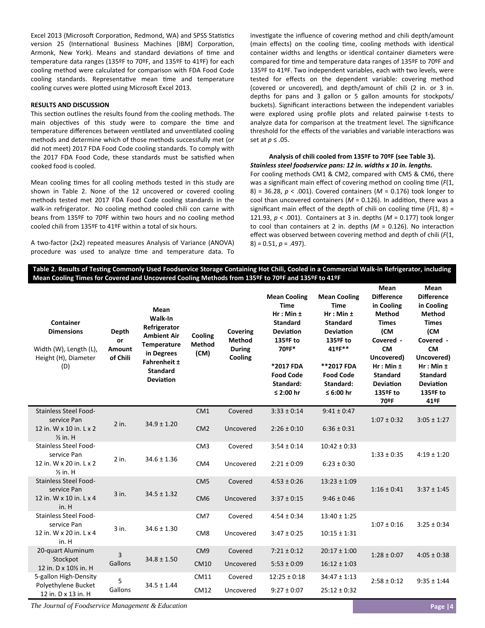Excel 2013 (Microsoft Corporation, Redmond, WA) and SPSS Statistics version 25 (International Business Machines [IBM] Corporation, Armonk, New York). Means and standard deviations of time and temperature data ranges (135ºF to 70ºF, and 135ºF to 41ºF) for each cooling method were calculated for comparison with FDA Food Code cooling standards. Representative mean time and temperature cooling curves were plotted using Microsoft Excel 2013.

# **RESULTS AND DISCUSSION**

This section outlines the results found from the cooling methods. The main objectives of this study were to compare the time and temperature differences between ventilated and unventilated cooling methods and determine which of those methods successfully met (or did not meet) 2017 FDA Food Code cooling standards. To comply with the 2017 FDA Food Code, these standards must be satisfied when cooked food is cooled.

Mean cooling times for all cooling methods tested in this study are shown in Table 2. None of the 12 uncovered or covered cooling methods tested met 2017 FDA Food Code cooling standards in the walk-in refrigerator. No cooling method cooled chili con carne with beans from 135ºF to 70ºF within two hours and no cooling method cooled chili from 135ºF to 41ºF within a total of six hours.

A two‐factor (2x2) repeated measures Analysis of Variance (ANOVA) procedure was used to analyze time and temperature data. To investigate the influence of covering method and chili depth/amount (main effects) on the cooling time, cooling methods with identical container widths and lengths or identical container diameters were compared for time and temperature data ranges of 135ºF to 70ºF and 135ºF to 41ºF. Two independent variables, each with two levels, were tested for effects on the dependent variable: covering method (covered or uncovered), and depth/amount of chili (2 in. or 3 in. depths for pans and 3 gallon or 5 gallon amounts for stockpots/ buckets). Significant interactions between the independent variables were explored using profile plots and related pairwise t-tests to analyze data for comparison at the treatment level. The significance threshold for the effects of the variables and variable interactions was set at *p* ≤ .05.

#### **Analysis of chili cooled from 135ºF to 70ºF (see Table 3).**  *Stainless steel foodservice pans: 12 in. widths x 10 in. lengths.*

For cooling methods CM1 & CM2, compared with CM5 & CM6, there was a significant main effect of covering method on cooling time (F(1, 8) = 36.28, *p* < .001). Covered containers (*M* = 0.176) took longer to cool than uncovered containers ( $M = 0.126$ ). In addition, there was a significant main effect of the depth of chili on cooling time  $(F(1, 8) =$ 121.93, *p* < .001). Containers at 3 in. depths (*M* = 0.177) took longer to cool than containers at 2 in. depths  $(M = 0.126)$ . No interaction effect was observed between covering method and depth of chili (*F*(1, 8) = 0.51, *p* = .497).

# Table 2. Results of Testing Commonly Used Foodservice Storage Containing Hot Chili, Cooled in a Commercial Walk-in Refrigerator, including **Mean Cooling Times for Covered and Uncovered Cooling Methods from 135ºF to 70ºF and 135ºF to 41ºF**

| Container<br><b>Dimensions</b><br>Width (W), Length (L),<br>Height (H), Diameter<br>(D) | <b>Depth</b><br>or<br><b>Amount</b><br>of Chili | Mean<br>Walk-In<br>Refrigerator<br><b>Ambient Air</b><br><b>Temperature</b><br>in Degrees<br>Fahrenheit ±<br><b>Standard</b><br><b>Deviation</b> | Cooling<br><b>Method</b><br>(CM) | Covering<br>Method<br><b>During</b><br>Cooling | <b>Mean Cooling</b><br><b>Time</b><br>$Hr: Min \pm$<br><b>Standard</b><br><b>Deviation</b><br>135ºF to<br>70ºF*<br>*2017 FDA<br><b>Food Code</b><br>Standard:<br>≤ 2:00 hr | <b>Mean Cooling</b><br><b>Time</b><br>$Hr: Min \pm$<br><b>Standard</b><br><b>Deviation</b><br>135ºF to<br>41ºF**<br>**2017 FDA<br><b>Food Code</b><br>Standard:<br>≤ 6:00 hr | Mean<br><b>Difference</b><br>in Cooling<br><b>Method</b><br><b>Times</b><br>(CM<br>Covered -<br><b>CM</b><br>Uncovered)<br>$Hr: Min \pm$<br><b>Standard</b><br><b>Deviation</b><br>135ºF to<br>70ºF | Mean<br><b>Difference</b><br>in Cooling<br><b>Method</b><br><b>Times</b><br>(CM<br>Covered -<br><b>CM</b><br>Uncovered)<br>$Hr: Min \pm$<br><b>Standard</b><br><b>Deviation</b><br>135ºF to<br>41ºF |
|-----------------------------------------------------------------------------------------|-------------------------------------------------|--------------------------------------------------------------------------------------------------------------------------------------------------|----------------------------------|------------------------------------------------|----------------------------------------------------------------------------------------------------------------------------------------------------------------------------|------------------------------------------------------------------------------------------------------------------------------------------------------------------------------|-----------------------------------------------------------------------------------------------------------------------------------------------------------------------------------------------------|-----------------------------------------------------------------------------------------------------------------------------------------------------------------------------------------------------|
| Stainless Steel Food-<br>service Pan                                                    |                                                 |                                                                                                                                                  | CM <sub>1</sub>                  | Covered                                        | $3:33 \pm 0:14$                                                                                                                                                            | $9:41 \pm 0:47$                                                                                                                                                              | $1:07 \pm 0:32$                                                                                                                                                                                     | $3:05 \pm 1:27$                                                                                                                                                                                     |
| 12 in. W x 10 in. L x 2<br>$\frac{1}{2}$ in. H                                          | $2$ in.                                         | $34.9 \pm 1.20$                                                                                                                                  | CM <sub>2</sub>                  | Uncovered                                      | $2:26 \pm 0:10$                                                                                                                                                            | $6:36 \pm 0:31$                                                                                                                                                              |                                                                                                                                                                                                     |                                                                                                                                                                                                     |
| <b>Stainless Steel Food-</b><br>service Pan                                             | 2 in.<br>$\frac{1}{2}$ in. H                    | $34.6 \pm 1.36$                                                                                                                                  | CM <sub>3</sub>                  | Covered                                        | $3:54 \pm 0:14$                                                                                                                                                            | $10:42 \pm 0:33$                                                                                                                                                             | $1:33 \pm 0:35$                                                                                                                                                                                     | $4:19 \pm 1:20$                                                                                                                                                                                     |
| 12 in. W x 20 in. L x 2                                                                 |                                                 |                                                                                                                                                  | CM4                              | Uncovered                                      | $2:21 \pm 0:09$                                                                                                                                                            | $6:23 \pm 0:30$                                                                                                                                                              |                                                                                                                                                                                                     |                                                                                                                                                                                                     |
| <b>Stainless Steel Food-</b><br>service Pan                                             |                                                 | $34.5 \pm 1.32$                                                                                                                                  | CM <sub>5</sub>                  | Covered                                        | $4:53 \pm 0:26$                                                                                                                                                            | $13:23 \pm 1:09$                                                                                                                                                             | $1:16 \pm 0:41$                                                                                                                                                                                     | $3:37 \pm 1:45$                                                                                                                                                                                     |
| 12 in. W x 10 in. L x 4<br>in. H                                                        | $3$ in.                                         |                                                                                                                                                  | CM <sub>6</sub>                  | Uncovered                                      | $3:37 \pm 0:15$                                                                                                                                                            | $9:46 \pm 0:46$                                                                                                                                                              |                                                                                                                                                                                                     |                                                                                                                                                                                                     |
| <b>Stainless Steel Food-</b><br>service Pan                                             | $3$ in.<br>in. H                                |                                                                                                                                                  | CM <sub>7</sub>                  | Covered                                        | $4:54 \pm 0:34$                                                                                                                                                            | $13:40 \pm 1:25$                                                                                                                                                             | $1:07 \pm 0:16$                                                                                                                                                                                     | $3:25 \pm 0:34$                                                                                                                                                                                     |
| 12 in. W x 20 in. L x 4                                                                 |                                                 | $34.6 \pm 1.30$                                                                                                                                  | CM <sub>8</sub>                  | Uncovered                                      | $3:47 \pm 0:25$                                                                                                                                                            | $10:15 \pm 1:31$                                                                                                                                                             |                                                                                                                                                                                                     |                                                                                                                                                                                                     |
| 20-quart Aluminum<br>Stockpot                                                           | 3                                               | $34.8 \pm 1.50$                                                                                                                                  | CM <sub>9</sub>                  | Covered                                        | $7:21 \pm 0:12$                                                                                                                                                            | $20:17 \pm 1:00$                                                                                                                                                             | $1:28 \pm 0:07$                                                                                                                                                                                     | $4:05 \pm 0:38$                                                                                                                                                                                     |
| 12 in. D x 101/2 in. H                                                                  | Gallons                                         |                                                                                                                                                  | <b>CM10</b>                      | Uncovered                                      | $5:53 \pm 0:09$                                                                                                                                                            | $16:12 \pm 1:03$                                                                                                                                                             |                                                                                                                                                                                                     |                                                                                                                                                                                                     |
| 5-gallon High-Density<br>Polyethylene Bucket                                            | 5                                               | $34.5 \pm 1.44$                                                                                                                                  | CM11                             | Covered                                        | $12:25 \pm 0:18$                                                                                                                                                           | $34:47 \pm 1:13$                                                                                                                                                             | $2:58 \pm 0:12$                                                                                                                                                                                     | $9:35 \pm 1:44$                                                                                                                                                                                     |
| Gallons<br>12 in. D x 13 in. H                                                          |                                                 | CM12                                                                                                                                             | Uncovered                        | $9:27 \pm 0:07$                                | $25:12 \pm 0:32$                                                                                                                                                           |                                                                                                                                                                              |                                                                                                                                                                                                     |                                                                                                                                                                                                     |

*The Journal of Foodservice Management & Education*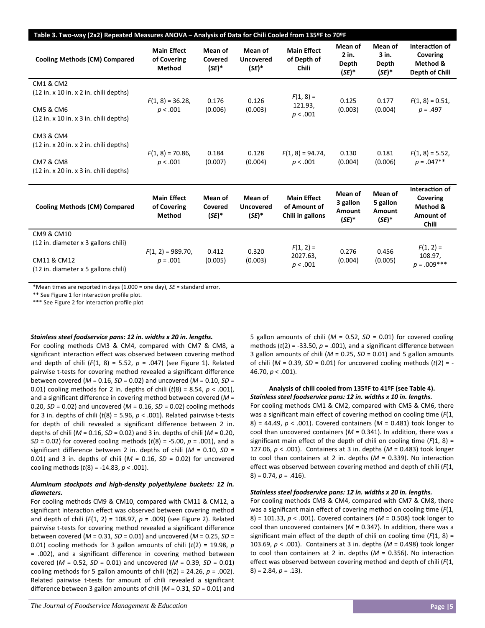| Table 3. Two-way (2x2) Repeated Measures ANOVA - Analysis of Data for Chili Cooled from 135ºF to 70ºF |                                                    |                                |                                         |                                                        |                                           |                                           |                                                              |  |
|-------------------------------------------------------------------------------------------------------|----------------------------------------------------|--------------------------------|-----------------------------------------|--------------------------------------------------------|-------------------------------------------|-------------------------------------------|--------------------------------------------------------------|--|
| <b>Cooling Methods (CM) Compared</b>                                                                  | <b>Main Effect</b><br>of Covering<br><b>Method</b> | Mean of<br>Covered<br>$(SE)^*$ | Mean of<br><b>Uncovered</b><br>$(SE)^*$ | <b>Main Effect</b><br>of Depth of<br><b>Chili</b>      | Mean of<br>2 in.<br>Depth<br>$(SE)^*$     | Mean of<br>3 in.<br>Depth<br>$(SE)^*$     | Interaction of<br>Covering<br>Method &<br>Depth of Chili     |  |
| CM1 & CM2                                                                                             |                                                    |                                |                                         |                                                        |                                           |                                           |                                                              |  |
| $(12$ in. x 10 in. x 2 in. chili depths)                                                              | $F(1, 8) = 36.28$                                  | 0.176                          | 0.126                                   | $F(1, 8) =$                                            | 0.125                                     | 0.177                                     | $F(1, 8) = 0.51$ ,                                           |  |
| <b>CM5 &amp; CM6</b>                                                                                  | p < .001                                           | (0.006)                        | (0.003)                                 | 121.93,                                                | (0.003)                                   | (0.004)                                   | $p = .497$                                                   |  |
| $(12$ in. x 10 in. x 3 in. chili depths)                                                              |                                                    |                                |                                         | p < .001                                               |                                           |                                           |                                                              |  |
| <b>CM3 &amp; CM4</b>                                                                                  |                                                    |                                |                                         |                                                        |                                           |                                           |                                                              |  |
| $(12$ in. x 20 in. x 2 in. chili depths)                                                              |                                                    |                                |                                         |                                                        |                                           |                                           |                                                              |  |
|                                                                                                       | $F(1, 8) = 70.86$                                  | 0.184                          | 0.128                                   | $F(1, 8) = 94.74,$                                     | 0.130                                     | 0.181                                     | $F(1, 8) = 5.52$                                             |  |
| <b>CM7 &amp; CM8</b><br>$(12$ in. x 20 in. x 3 in. chili depths)                                      | p < .001                                           | (0.007)                        | (0.004)                                 | p < .001                                               | (0.004)                                   | (0.006)                                   | $p = .047**$                                                 |  |
|                                                                                                       |                                                    |                                |                                         |                                                        |                                           |                                           |                                                              |  |
| <b>Cooling Methods (CM) Compared</b>                                                                  | <b>Main Effect</b><br>of Covering<br><b>Method</b> | Mean of<br>Covered<br>$(SE)^*$ | Mean of<br><b>Uncovered</b><br>$(SE)^*$ | <b>Main Effect</b><br>of Amount of<br>Chili in gallons | Mean of<br>3 gallon<br>Amount<br>$(SE)^*$ | Mean of<br>5 gallon<br>Amount<br>$(SE)^*$ | Interaction of<br>Covering<br>Method &<br>Amount of<br>Chili |  |
| CM9 & CM10                                                                                            |                                                    |                                |                                         |                                                        |                                           |                                           |                                                              |  |
| (12 in. diameter x 3 gallons chili)                                                                   | $F(1, 2) = 989.70$ ,                               | 0.412                          | 0.320                                   | $F(1, 2) =$                                            | 0.276                                     | 0.456                                     | $F(1, 2) =$                                                  |  |
| CM11 & CM12                                                                                           | $p = .001$                                         | (0.005)                        | (0.003)                                 | 2027.63,<br>p < .001                                   | (0.004)                                   | (0.005)                                   | 108.97,<br>$p = .009***$                                     |  |
| (12 in. diameter x 5 gallons chili)                                                                   |                                                    |                                |                                         |                                                        |                                           |                                           |                                                              |  |

\*Mean Ɵmes are reported in days (1.000 = one day), *SE* = standard error.

\*\* See Figure 1 for interaction profile plot.

\*\*\* See Figure 2 for interaction profile plot

# *Stainless steel foodservice pans: 12 in. widths x 20 in. lengths.*

For cooling methods CM3 & CM4, compared with CM7 & CM8, a significant interaction effect was observed between covering method and depth of chili  $(F(1, 8) = 5.52, p = .047)$  (see Figure 1). Related pairwise t-tests for covering method revealed a significant difference between covered (*M* = 0.16, *SD* = 0.02) and uncovered (*M* = 0.10, *SD* = 0.01) cooling methods for 2 in. depths of chili  $(t(8) = 8.54, p < .001)$ , and a significant difference in covering method between covered (*M* = 0.20, *SD* = 0.02) and uncovered (*M* = 0.16, *SD* = 0.02) cooling methods for 3 in. depths of chili  $(t(8) = 5.96, p < .001)$ . Related pairwise t-tests for depth of chili revealed a significant difference between 2 in. depths of chili (*M* = 0.16, *SD* = 0.02) and 3 in. depths of chili (*M* = 0.20, *SD* = 0.02) for covered cooling methods (*t*(8) = ‐5.00, *p* = .001), and a significant difference between 2 in. depths of chili  $(M = 0.10, SD =$ 0.01) and 3 in. depths of chili  $(M = 0.16, SD = 0.02)$  for uncovered cooling methods (*t*(8) = ‐14.83, *p* < .001).

# *Aluminum stockpots and high‐density polyethylene buckets: 12 in. diameters.*

For cooling methods CM9 & CM10, compared with CM11 & CM12, a significant interaction effect was observed between covering method and depth of chili (*F*(1, 2) = 108.97, *p* = .009) (see Figure 2). Related pairwise t-tests for covering method revealed a significant difference between covered (*M* = 0.31, *SD* = 0.01) and uncovered (*M* = 0.25, *SD* = 0.01) cooling methods for 3 gallon amounts of chili  $(t(2) = 19.98, p)$ = .002), and a significant difference in covering method between covered  $(M = 0.52, SD = 0.01)$  and uncovered  $(M = 0.39, SD = 0.01)$ cooling methods for 5 gallon amounts of chili  $(t(2) = 24.26, p = .002)$ . Related pairwise t-tests for amount of chili revealed a significant difference between 3 gallon amounts of chili (*M* = 0.31, *SD* = 0.01) and 5 gallon amounts of chili  $(M = 0.52, SD = 0.01)$  for covered cooling methods  $(t(2) = -33.50, p = .001)$ , and a significant difference between 3 gallon amounts of chili (*M* = 0.25, *SD* = 0.01) and 5 gallon amounts of chili  $(M = 0.39, SD = 0.01)$  for uncovered cooling methods  $(t(2) = -$ 46.70, *p* < .001).

# **Analysis of chili cooled from 135ºF to 41ºF (see Table 4).**  *Stainless steel foodservice pans: 12 in. widths x 10 in. lengths.*

For cooling methods CM1 & CM2, compared with CM5 & CM6, there was a significant main effect of covering method on cooling time ( $F(1, 1)$ 8) = 44.49, *p* < .001). Covered containers (*M* = 0.481) took longer to cool than uncovered containers ( $M = 0.341$ ). In addition, there was a significant main effect of the depth of chili on cooling time  $(F(1, 8) =$ 127.06, *p* < .001). Containers at 3 in. depths (*M* = 0.483) took longer to cool than containers at 2 in. depths  $(M = 0.339)$ . No interaction effect was observed between covering method and depth of chili (*F*(1, 8) = 0.74, *p* = .416).

## *Stainless steel foodservice pans: 12 in. widths x 20 in. lengths.*

For cooling methods CM3 & CM4, compared with CM7 & CM8, there was a significant main effect of covering method on cooling time (F(1, 8) = 101.33, *p* < .001). Covered containers (*M* = 0.508) took longer to cool than uncovered containers ( $M = 0.347$ ). In addition, there was a significant main effect of the depth of chili on cooling time  $(F(1, 8) =$ 103.69, *p* < .001). Containers at 3 in. depths (*M* = 0.498) took longer to cool than containers at 2 in. depths  $(M = 0.356)$ . No interaction effect was observed between covering method and depth of chili (*F*(1, 8) = 2.84, *p* = .13).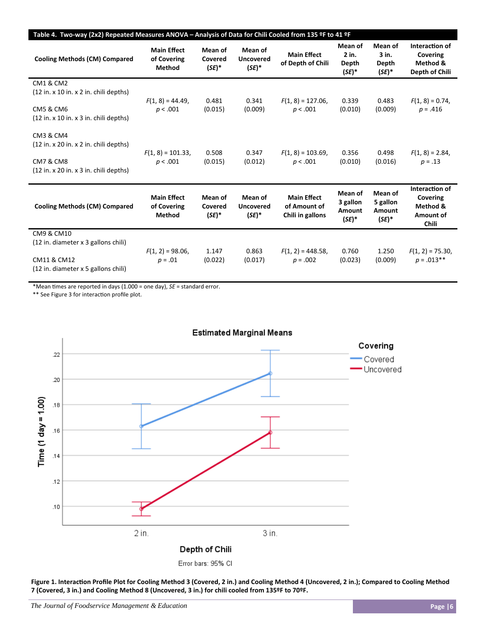| Table 4. Two-way (2x2) Repeated Measures ANOVA - Analysis of Data for Chili Cooled from 135 ºF to 41 ºF                              |                                                    |                                |                                         |                                                        |                                           |                                           |                                                                     |  |
|--------------------------------------------------------------------------------------------------------------------------------------|----------------------------------------------------|--------------------------------|-----------------------------------------|--------------------------------------------------------|-------------------------------------------|-------------------------------------------|---------------------------------------------------------------------|--|
| <b>Cooling Methods (CM) Compared</b>                                                                                                 | <b>Main Effect</b><br>of Covering<br><b>Method</b> | Mean of<br>Covered<br>$(SE)^*$ | Mean of<br><b>Uncovered</b><br>$(SE)^*$ | <b>Main Effect</b><br>of Depth of Chili                | Mean of<br>$2$ in.<br>Depth<br>$(SE)^*$   | Mean of<br>3 in.<br>Depth<br>$(SE)^*$     | Interaction of<br>Covering<br>Method &<br>Depth of Chili            |  |
| <b>CM1 &amp; CM2</b><br>$(12$ in. x 10 in. x 2 in. chili depths)<br><b>CM5 &amp; CM6</b><br>$(12$ in. x 10 in. x 3 in. chili depths) | $F(1, 8) = 44.49$ ,<br>p < .001                    | 0.481<br>(0.015)               | 0.341<br>(0.009)                        | $F(1, 8) = 127.06$ ,<br>p < .001                       | 0.339<br>(0.010)                          | 0.483<br>(0.009)                          | $F(1, 8) = 0.74$ ,<br>$p = .416$                                    |  |
| CM3 & CM4<br>$(12$ in. x 20 in. x 2 in. chili depths)<br><b>CM7 &amp; CM8</b><br>$(12$ in. x 20 in. x 3 in. chili depths)            | $F(1, 8) = 101.33$ ,<br>p < .001                   | 0.508<br>(0.015)               | 0.347<br>(0.012)                        | $F(1, 8) = 103.69$ ,<br>p < .001                       | 0.356<br>(0.010)                          | 0.498<br>(0.016)                          | $F(1, 8) = 2.84$<br>$p = .13$                                       |  |
| <b>Cooling Methods (CM) Compared</b>                                                                                                 | <b>Main Effect</b><br>of Covering<br>Method        | Mean of<br>Covered<br>$(SE)^*$ | Mean of<br><b>Uncovered</b><br>$(SE)^*$ | <b>Main Effect</b><br>of Amount of<br>Chili in gallons | Mean of<br>3 gallon<br>Amount<br>$(SE)^*$ | Mean of<br>5 gallon<br>Amount<br>$(SE)^*$ | Interaction of<br>Covering<br>Method &<br>Amount of<br><b>Chili</b> |  |
| <b>CM9 &amp; CM10</b><br>(12 in. diameter x 3 gallons chili)<br>CM11 & CM12<br>(12 in. diameter x 5 gallons chili)                   | $F(1, 2) = 98.06$ ,<br>$p = .01$                   | 1.147<br>(0.022)               | 0.863<br>(0.017)                        | $F(1, 2) = 448.58$ ,<br>$p = .002$                     | 0.760<br>(0.023)                          | 1.250<br>(0.009)                          | $F(1, 2) = 75.30$ ,<br>$p = .013$ **                                |  |

\*Mean Ɵmes are reported in days (1.000 = one day), *SE* = standard error.

\*\* See Figure 3 for interaction profile plot.



Figure 1. Interaction Profile Plot for Cooling Method 3 (Covered, 2 in.) and Cooling Method 4 (Uncovered, 2 in.); Compared to Cooling Method **7 (Covered, 3 in.) and Cooling Method 8 (Uncovered, 3 in.) for chili cooled from 135ºF to 70ºF.**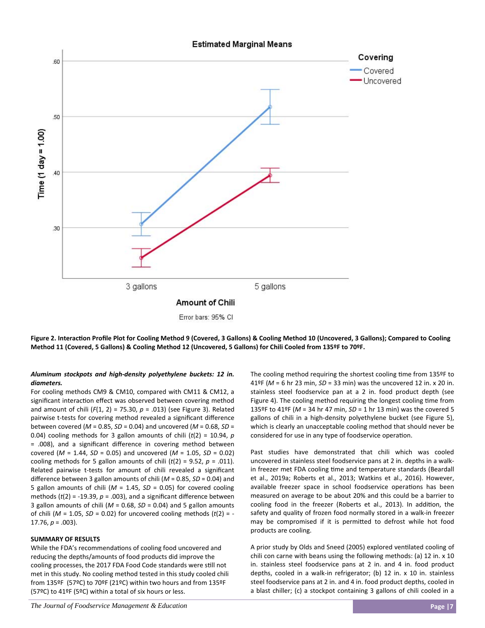

Figure 2. Interaction Profile Plot for Cooling Method 9 (Covered, 3 Gallons) & Cooling Method 10 (Uncovered, 3 Gallons); Compared to Cooling **Method 11 (Covered, 5 Gallons) & Cooling Method 12 (Uncovered, 5 Gallons) for Chili Cooled from 135ºF to 70ºF.**

# *Aluminum stockpots and high‐density polyethylene buckets: 12 in. diameters.*

For cooling methods CM9 & CM10, compared with CM11 & CM12, a significant interaction effect was observed between covering method and amount of chili  $(F(1, 2) = 75.30, p = .013)$  (see Figure 3). Related pairwise t-tests for covering method revealed a significant difference between covered (*M* = 0.85, *SD* = 0.04) and uncovered (*M* = 0.68, *SD* = 0.04) cooling methods for 3 gallon amounts of chili  $(t/2) = 10.94$ ,  $p$ = .008), and a significant difference in covering method between covered  $(M = 1.44, SD = 0.05)$  and uncovered  $(M = 1.05, SD = 0.02)$ cooling methods for 5 gallon amounts of chili  $(t(2) = 9.52, p = .011)$ . Related pairwise t-tests for amount of chili revealed a significant difference between 3 gallon amounts of chili (*M* = 0.85, *SD* = 0.04) and 5 gallon amounts of chili  $(M = 1.45, SD = 0.05)$  for covered cooling methods  $(t(2) = -19.39, p = .003)$ , and a significant difference between 3 gallon amounts of chili (*M* = 0.68, *SD* = 0.04) and 5 gallon amounts of chili  $(M = 1.05, SD = 0.02)$  for uncovered cooling methods  $(t(2) = -$ 17.76, *p* = .003).

#### **SUMMARY OF RESULTS**

While the FDA's recommendations of cooling food uncovered and reducing the depths/amounts of food products did improve the cooling processes, the 2017 FDA Food Code standards were still not met in this study. No cooling method tested in this study cooled chili from 135ºF (57ºC) to 70ºF (21ºC) within two hours and from 135ºF (57ºC) to 41ºF (5ºC) within a total of six hours or less.

The cooling method requiring the shortest cooling time from 135ºF to 41ºF (*M* = 6 hr 23 min, *SD* = 33 min) was the uncovered 12 in. x 20 in. stainless steel foodservice pan at a 2 in. food product depth (see Figure 4). The cooling method requiring the longest cooling time from 135ºF to 41ºF (*M* = 34 hr 47 min, *SD* = 1 hr 13 min) was the covered 5 gallons of chili in a high-density polyethylene bucket (see Figure 5), which is clearly an unacceptable cooling method that should never be considered for use in any type of foodservice operation.

Past studies have demonstrated that chili which was cooled uncovered in stainless steel foodservice pans at 2 in. depths in a walk‐ in freezer met FDA cooling time and temperature standards (Beardall et al., 2019a; Roberts et al., 2013; Watkins et al., 2016). However, available freezer space in school foodservice operations has been measured on average to be about 20% and this could be a barrier to cooling food in the freezer (Roberts et al., 2013). In addition, the safety and quality of frozen food normally stored in a walk‐in freezer may be compromised if it is permitted to defrost while hot food products are cooling.

A prior study by Olds and Sneed (2005) explored ventilated cooling of chili con carne with beans using the following methods: (a) 12 in. x 10 in. stainless steel foodservice pans at 2 in. and 4 in. food product depths, cooled in a walk-in refrigerator; (b) 12 in. x 10 in. stainless steel foodservice pans at 2 in. and 4 in. food product depths, cooled in a blast chiller; (c) a stockpot containing 3 gallons of chili cooled in a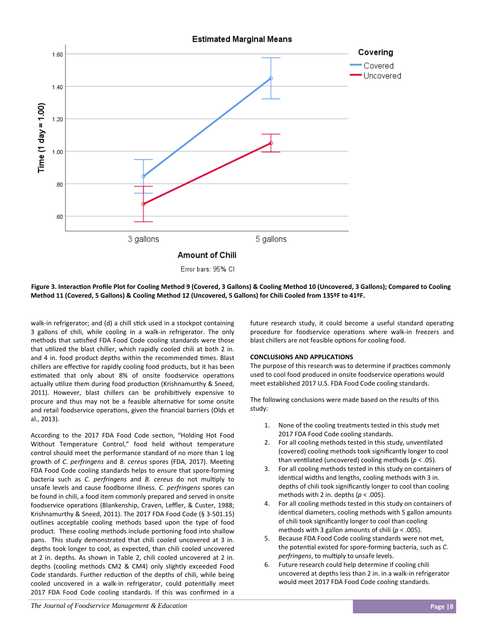

# Figure 3. Interaction Profile Plot for Cooling Method 9 (Covered, 3 Gallons) & Cooling Method 10 (Uncovered, 3 Gallons); Compared to Cooling **Method 11 (Covered, 5 Gallons) & Cooling Method 12 (Uncovered, 5 Gallons) for Chili Cooled from 135ºF to 41ºF.**

walk-in refrigerator; and (d) a chill stick used in a stockpot containing 3 gallons of chili, while cooling in a walk‐in refrigerator. The only methods that satisfied FDA Food Code cooling standards were those that utilized the blast chiller, which rapidly cooled chili at both 2 in. and 4 in. food product depths within the recommended times. Blast chillers are effective for rapidly cooling food products, but it has been estimated that only about 8% of onsite foodservice operations actually utilize them during food production (Krishnamurthy & Sneed, 2011). However, blast chillers can be prohibitively expensive to procure and thus may not be a feasible alternative for some onsite and retail foodservice operations, given the financial barriers (Olds et al., 2013).

According to the 2017 FDA Food Code section, "Holding Hot Food Without Temperature Control," food held without temperature control should meet the performance standard of no more than 1 log growth of *C. perfringens* and *B. cereus* spores (FDA, 2017). Meeting FDA Food Code cooling standards helps to ensure that spore-forming bacteria such as *C. perfringens* and *B. cereus* do not multiply to unsafe levels and cause foodborne illness. *C. perfringens* spores can be found in chili, a food item commonly prepared and served in onsite foodservice operations (Blankenship, Craven, Leffler, & Custer, 1988; Krishnamurthy & Sneed, 2011). The 2017 FDA Food Code (§ 3‐501.15) outlines acceptable cooling methods based upon the type of food product. These cooling methods include portioning food into shallow pans. This study demonstrated that chili cooled uncovered at 3 in. depths took longer to cool, as expected, than chili cooled uncovered at 2 in. depths. As shown in Table 2, chili cooled uncovered at 2 in. depths (cooling methods CM2 & CM4) only slightly exceeded Food Code standards. Further reduction of the depths of chili, while being cooled uncovered in a walk-in refrigerator, could potentially meet 2017 FDA Food Code cooling standards. If this was confirmed in a future research study, it could become a useful standard operating procedure for foodservice operations where walk-in freezers and blast chillers are not feasible options for cooling food.

# **CONCLUSIONS AND APPLICATIONS**

The purpose of this research was to determine if practices commonly used to cool food produced in onsite foodservice operations would meet established 2017 U.S. FDA Food Code cooling standards.

The following conclusions were made based on the results of this study:

- 1. None of the cooling treatments tested in this study met 2017 FDA Food Code cooling standards.
- 2. For all cooling methods tested in this study, unventilated (covered) cooling methods took significantly longer to cool than ventilated (uncovered) cooling methods ( $p < .05$ ).
- 3. For all cooling methods tested in this study on containers of identical widths and lengths, cooling methods with 3 in. depths of chili took significantly longer to cool than cooling methods with 2 in. depths  $(p < .005)$ .
- 4. For all cooling methods tested in this study on containers of identical diameters, cooling methods with 5 gallon amounts of chili took significantly longer to cool than cooling methods with 3 gallon amounts of chili (*p* < .005).
- 5. Because FDA Food Code cooling standards were not met, the potential existed for spore-forming bacteria, such as *C*. *perfringens*, to multiply to unsafe levels.
- 6. Future research could help determine if cooling chili uncovered at depths less than 2 in. in a walk‐in refrigerator would meet 2017 FDA Food Code cooling standards.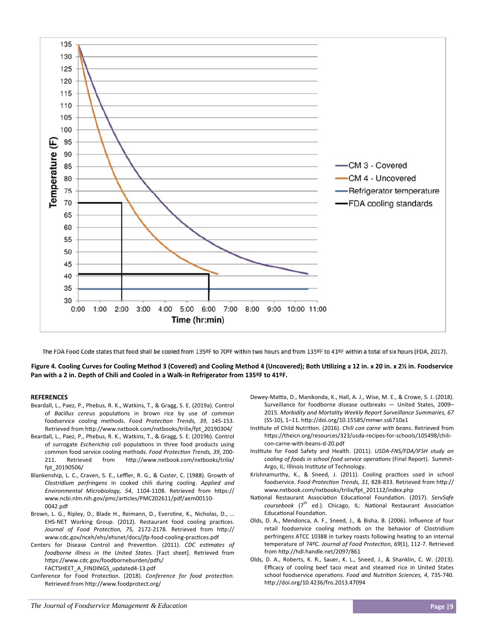

The FDA Food Code states that food shall be cooled from 135ºF to 70ºF within two hours and from 135ºF to 41ºF within a total of six hours (FDA, 2017).

Figure 4. Cooling Curves for Cooling Method 3 (Covered) and Cooling Method 4 (Uncovered); Both Utilizing a 12 in. x 20 in. x 2% in. Foodservice **Pan with a 2 in. Depth of Chili and Cooled in a Walk‐in Refrigerator from 135ºF to 41ºF.** 

#### **REFERENCES**

- Beardall, L., Paez, P., Phebus, R. K., Watkins, T., & Gragg, S. E. (2019a). Control of *Bacillus cereus* populations in brown rice by use of common foodservice cooling methods. Food Protection Trends, 39, 145-153. Retrieved from http://www.nxtbook.com/nxtbooks/trilix/fpt\_20190304/
- Beardall, L., Paez, P., Phebus, R. K., Watkins, T., & Gragg, S. E. (2019b). Control of surrogate *Escherichia coli* populations in three food products using common food service cooling methods. Food Protection Trends, 39, 200-211. Retrieved from http://www.nxtbook.com/nxtbooks/trilix/ fpt\_20190506/
- Blankenship, L. C., Craven, S. E., Leffler, R. G., & Custer, C. (1988). Growth of *Clostridium perfringens* in cooked chili during cooling. *Applied and Environmental Microbiology, 54*, 1104‐1108. Retrieved from hƩps:// www.ncbi.nlm.nih.gov/pmc/articles/PMC202611/pdf/aem00110-0042.pdf
- Brown, L. G., Ripley, D., Blade H., Reimann, D., Everstine, K., Nicholas, D., ... EHS-NET Working Group. (2012). Restaurant food cooling practices. Journal of Food Protection, 75, 2172-2178. Retrieved from http:// www.cdc.gov/nceh/ehs/ehsnet/docs/jfp-food-cooling-practices.pdf
- Centers for Disease Control and Prevention. (2011). CDC estimates of *foodborne illness in the United States.* [Fact sheet]. Retrieved from https://www.cdc.gov/foodborneburden/pdfs/ FACTSHEET\_A\_FINDINGS\_updated4‐13.pdf
- Conference for Food Protection. (2018). Conference for food protection. Retrieved from http://www.foodprotect.org/
- Dewey-Mattia, D., Manikonda, K., Hall, A. J., Wise, M. E., & Crowe, S. J. (2018). Surveillance for foodborne disease outbreaks — United States, 2009– 2015. *Morbidity and Mortality Weekly Report Surveillance Summaries, 67* (SS‐10), 1–11. hƩp://doi.org/10.15585/mmwr.ss6710a1
- Institute of Child Nutrition. (2016). *Chili con carne with beans*. Retrieved from https://theicn.org/resources/323/usda-recipes-for-schools/105498/chilicon‐carne‐with‐beans‐d‐20.pdf
- InsƟtute for Food Safety and Health. (2011). *USDA‐FNS/FDA/IFSH study on cooling of foods in school food service operations* (Final Report). Summit-Argo, IL: Illinois Institute of Technology.
- Krishnamurthy, K., & Sneed, J. (2011). Cooling practices used in school foodservice. *Food Protection Trends, 31, 828-833*. Retrieved from http:// www.nxtbook.com/nxtbooks/trilix/fpt\_201112/index.php
- National Restaurant Association Educational Foundation. (2017). ServSafe *coursebook* (7<sup>th</sup> ed.). Chicago, IL: National Restaurant Association Educational Foundation.
- Olds, D. A., Mendonca, A. F., Sneed, J., & Bisha, B. (2006). Influence of four retail foodservice cooling methods on the behavior of Clostridium perfringens ATCC 10388 in turkey roasts following heating to an internal temperature of 74ºC. Journal of Food Protection, 69(1), 112-7. Retrieved from http://hdl.handle.net/2097/861
- Olds, D. A., Roberts, K. R., Sauer, K. L., Sneed, J., & Shanklin, C. W. (2013). Efficacy of cooling beef taco meat and steamed rice in United States school foodservice operations. *Food and Nutrition Sciences, 4, 735-740*. http://doi.org/10.4236/fns.2013.47094